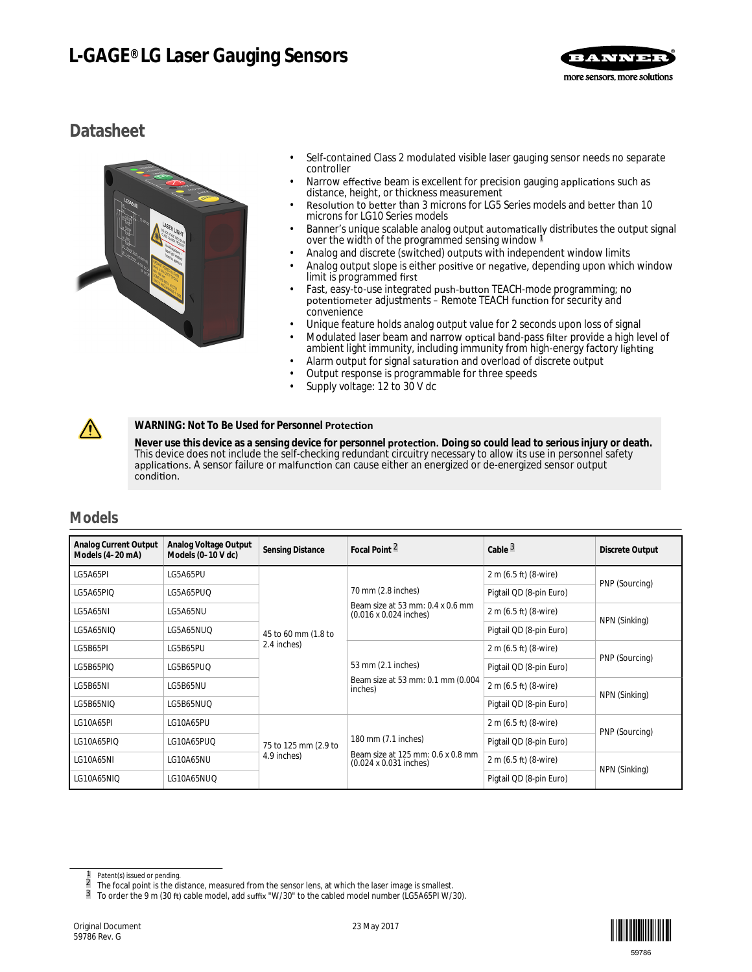# **L-GAGE® LG Laser Gauging Sensors**



# **Datasheet**



- Self-contained Class 2 modulated visible laser gauging sensor needs no separate controller
- Narrow effective beam is excellent for precision gauging applications such as distance, height, or thickness measurement
- Resolution to better than 3 microns for LG5 Series models and better than 10 microns for LG10 Series models
- Banner's unique scalable analog output automatically distributes the output signal over the width of the programmed sensing window 1
- Analog and discrete (switched) outputs with independent window limits
- Analog output slope is either positive or negative, depending upon which window limit is programmed first
- Fast, easy-to-use integrated push-button TEACH-mode programming; no potentiometer adjustments – Remote TEACH function for security and convenience
- Unique feature holds analog output value for 2 seconds upon loss of signal
- Modulated laser beam and narrow optical band-pass filter provide a high level of ambient light immunity, including immunity from high-energy factory lighting
- Alarm output for signal saturation and overload of discrete output
- Output response is programmable for three speeds
- Supply voltage: 12 to 30 V dc

### **WARNING: Not To Be Used for Personnel Protection**

Never use this device as a sensing device for personnel **protection.** Doing so could lead to serious injury or death. This device does not include the self-checking redundant circuitry necessary to allow its use in personnel safety applications. A sensor failure or malfunction can cause either an energized or de-energized sensor output condition.

## **Models**

 $\sqrt{N}$ 

| Analog Current Output<br>Models (4-20 mA) | Analog Voltage Output<br>Models (0-10 V dc) | Sensing Distance                   | Focal Point $\frac{2}{3}$                                                               | Cable $^3$              | Discrete Output |
|-------------------------------------------|---------------------------------------------|------------------------------------|-----------------------------------------------------------------------------------------|-------------------------|-----------------|
| LG5A65PI                                  | LG5A65PU                                    |                                    | 70 mm (2.8 inches)<br>Beam size at 53 mm: 0.4 x 0.6 mm<br>$(0.016 \times 0.024$ inches) | 2 m (6.5 ft) (8-wire)   | PNP (Sourcing)  |
| LG5A65PIQ                                 | LG5A65PUQ                                   |                                    |                                                                                         | Pigtail QD (8-pin Euro) |                 |
| LG5A65NI                                  | LG5A65NU                                    | 45 to 60 mm (1.8 to<br>2.4 inches) |                                                                                         | 2 m (6.5 ft) (8-wire)   | NPN (Sinking)   |
| LG5A65NIQ                                 | LG5A65NUQ                                   |                                    |                                                                                         | Pigtail QD (8-pin Euro) |                 |
| LG5B65PI                                  | LG5B65PU                                    |                                    | 53 mm (2.1 inches)<br>Beam size at 53 mm: 0.1 mm (0.004<br>inches)                      | 2 m (6.5 ft) (8-wire)   | PNP (Sourcing)  |
| LG5B65PIQ                                 | LG5B65PUQ                                   |                                    |                                                                                         | Pigtail QD (8-pin Euro) |                 |
| LG5B65NI                                  | LG5B65NU                                    |                                    |                                                                                         | 2 m (6.5 ft) (8-wire)   | NPN (Sinking)   |
| LG5B65NIQ                                 | LG5B65NUQ                                   |                                    |                                                                                         | Pigtail QD (8-pin Euro) |                 |
| LG10A65PI                                 | LG10A65PU                                   |                                    |                                                                                         | 2 m (6.5 ft) (8-wire)   | PNP (Sourcing)  |
| LG10A65PIQ                                | LG10A65PUQ                                  | 75 to 125 mm (2.9 to               | 180 mm (7.1 inches)                                                                     | Pigtail QD (8-pin Euro) |                 |
| LG10A65NI                                 | LG10A65NU                                   | 4.9 inches)                        | Beam size at 125 mm: 0.6 x 0.8 mm<br>(0.024 x 0.031 inches)                             | 2 m (6.5 ft) (8-wire)   |                 |
| LG10A65NIQ                                | LG10A65NUQ                                  |                                    |                                                                                         | Pigtail QD (8-pin Euro) | NPN (Sinking)   |



 $\frac{1}{2}$  Patent(s) issued or pending.

 $\frac{2}{3}$  The focal point is the distance, measured from the sensor lens, at which the laser image is smallest.<br>3 To order the 9 m (30 ft) cable model, add suffix "W/30" to the cabled model number (LG5465PLW/3

To order the 9 m (30 ft) cable model, add suffix "W/30" to the cabled model number (LG5A65PI W/30).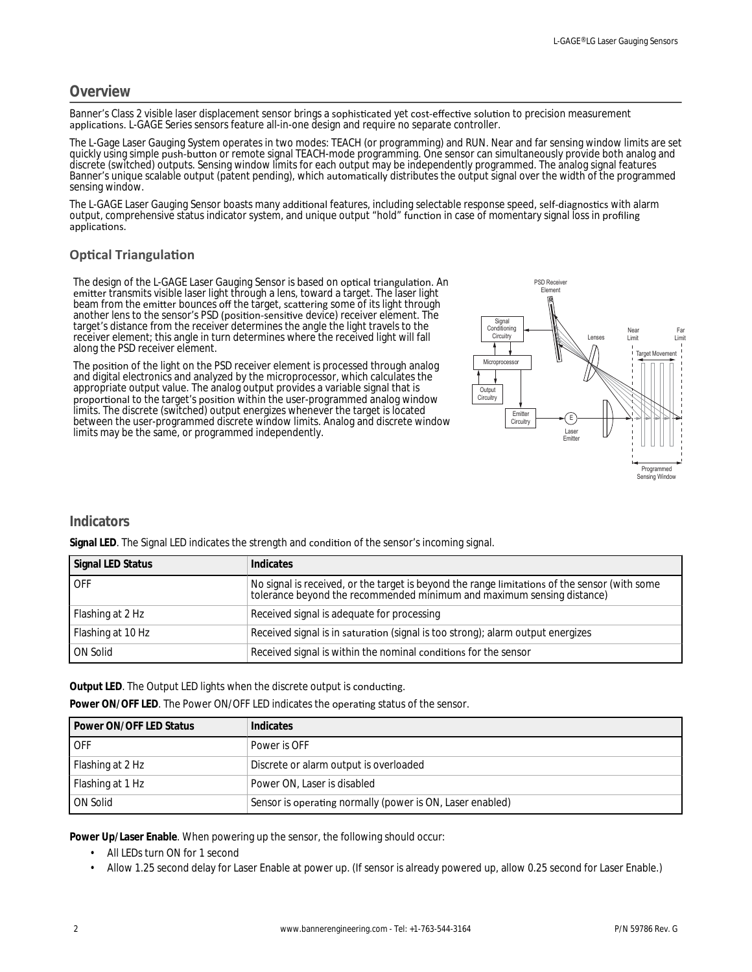## **Overview**

Banner's Class 2 visible laser displacement sensor brings a sophisticated yet cost-effective solution to precision measurement applications. L-GAGE Series sensors feature all-in-one design and require no separate controller.

The L-Gage Laser Gauging System operates in two modes: TEACH (or programming) and RUN. Near and far sensing window limits are set quickly using simple push-button or remote signal TEACH-mode programming. One sensor can simultaneously provide both analog and discrete (switched) outputs. Sensing window limits for each output may be independently programmed. The analog signal features Banner's unique scalable output (patent pending), which automatically distributes the output signal over the width of the programmed sensing window.

The L-GAGE Laser Gauging Sensor boasts many additional features, including selectable response speed, self-diagnostics with alarm output, comprehensive status indicator system, and unique output "hold" function in case of momentary signal loss in profiling applications.

### **Optical Triangulation**

The design of the L-GAGE Laser Gauging Sensor is based on optical triangulation. An emitter transmits visible laser light through a lens, toward a target. The laser light beam from the emitter bounces off the target, scattering some of its light through another lens to the sensor's PSD (position-sensitive device) receiver element. The target's distance from the receiver determines the angle the light travels to the receiver element; this angle in turn determines where the received light will fall along the PSD receiver element.

The position of the light on the PSD receiver element is processed through analog and digital electronics and analyzed by the microprocessor, which calculates the appropriate output value. The analog output provides a variable signal that is proportional to the target's position within the user-programmed analog window limits. The discrete (switched) output energizes whenever the target is located between the user-programmed discrete window limits. Analog and discrete window limits may be the same, or programmed independently.



## **Indicators**

Signal LED. The Signal LED indicates the strength and condition of the sensor's incoming signal.

| Signal LED Status | Indicates                                                                                                                                                            |
|-------------------|----------------------------------------------------------------------------------------------------------------------------------------------------------------------|
| LOFF.             | No signal is received, or the target is beyond the range limitations of the sensor (with some tolerance beyond the recommended minimum and maximum sensing distance) |
| Flashing at 2 Hz  | Received signal is adequate for processing                                                                                                                           |
| Flashing at 10 Hz | Received signal is in saturation (signal is too strong); alarm output energizes                                                                                      |
| ON Solid          | Received signal is within the nominal conditions for the sensor                                                                                                      |

Output LED. The Output LED lights when the discrete output is conducting.

Power ON/OFF LED. The Power ON/OFF LED indicates the operating status of the sensor.

| Power ON/OFF LED Status | Indicates                                                 |
|-------------------------|-----------------------------------------------------------|
| LOFF                    | Power is OFF                                              |
| Flashing at 2 Hz        | Discrete or alarm output is overloaded                    |
| Flashing at 1 Hz        | Power ON, Laser is disabled                               |
| <b>ON Solid</b>         | Sensor is operating normally (power is ON, Laser enabled) |

**Power Up/Laser Enable**. When powering up the sensor, the following should occur:

- All LEDs turn ON for 1 second
- Allow 1.25 second delay for Laser Enable at power up. (If sensor is already powered up, allow 0.25 second for Laser Enable.)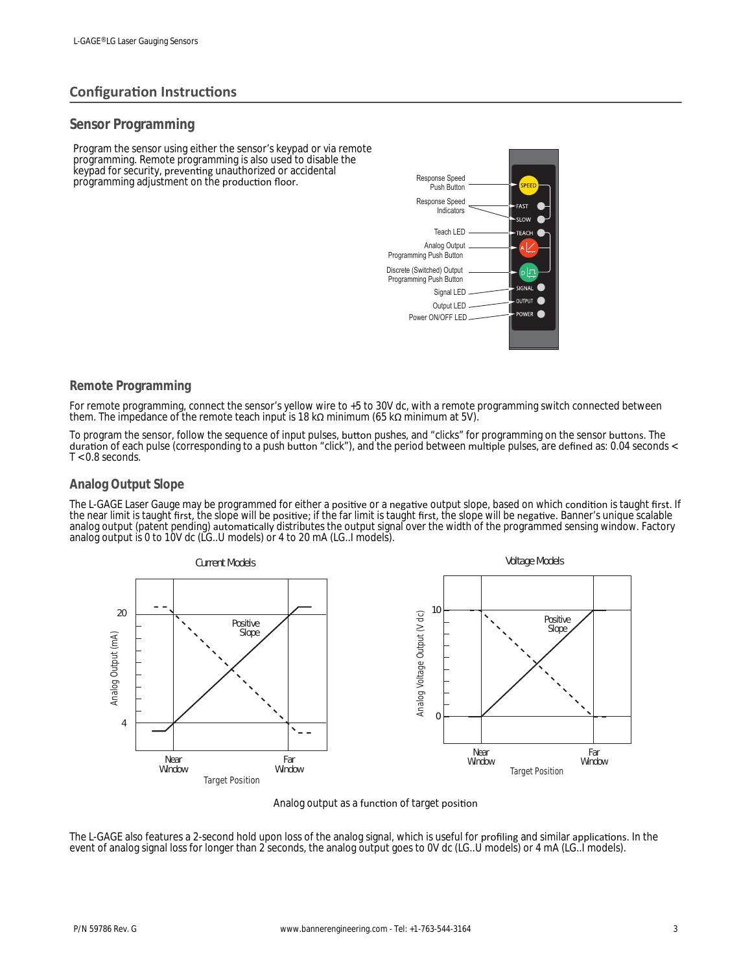## **Configuration Instructions**

### **Sensor Programming**

Program the sensor using either the sensor's keypad or via remote programming. Remote programming is also used to disable the keypad for security, preventing unauthorized or accidental programming adjustment on the production floor.



### **Remote Programming**

For remote programming, connect the sensor's yellow wire to +5 to 30V dc, with a remote programming switch connected between them. The impedance of the remote teach input is 18 kΩ minimum (65 kΩ minimum at 5V).

To program the sensor, follow the sequence of input pulses, button pushes, and "clicks" for programming on the sensor buttons. The duration of each pulse (corresponding to a push button "click"), and the period between multiple pulses, are defined as: 0.04 seconds <  $T < 0.8$  seconds.

### **Analog Output Slope**

The L-GAGE Laser Gauge may be programmed for either a positive or a negative output slope, based on which condition is taught first. If the near limit is taught first, the slope will be positive; if the far limit is taught first, the slope will be negative. Banner's unique scalable analog output (patent pending) automatically distributes the output signal over the width of the programmed sensing window. Factory analog output is 0 to 10V dc (LG..U models) or 4 to 20 mA (LG..I models).



### Analog output as a function of target position

The L-GAGE also features a 2-second hold upon loss of the analog signal, which is useful for profiling and similar applications. In the event of analog signal loss for longer than 2 seconds, the analog output goes to 0V dc (LG..U models) or 4 mA (LG..I models).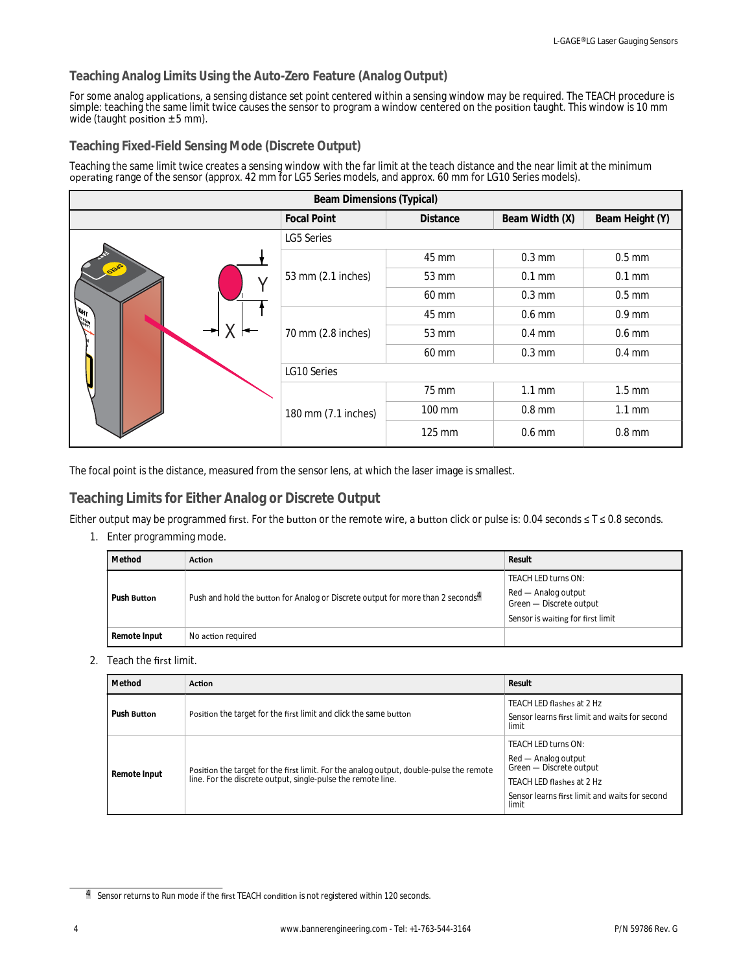### **Teaching Analog Limits Using the Auto-Zero Feature (Analog Output)**

For some analog applications, a sensing distance set point centered within a sensing window may be required. The TEACH procedure is simple: teaching the same limit twice causes the sensor to program a window centered on the position taught. This window is 10 mm wide (taught position  $\pm$  5 mm).

### **Teaching Fixed-Field Sensing Mode (Discrete Output)**

Teaching the same limit twice creates a sensing window with the far limit at the teach distance and the near limit at the minimum operating range of the sensor (approx. 42 mm for LG5 Series models, and approx. 60 mm for LG10 Series models).

| <b>Beam Dimensions (Typical)</b> |                     |                  |                  |                  |
|----------------------------------|---------------------|------------------|------------------|------------------|
|                                  | <b>Focal Point</b>  | <b>Distance</b>  | Beam Width (X)   | Beam Height (Y)  |
|                                  | <b>LG5 Series</b>   |                  |                  |                  |
|                                  |                     | 45 mm            | $0.3 \text{ mm}$ | $0.5$ mm         |
| <b>OSHOP</b>                     | 53 mm (2.1 inches)  | 53 mm            | $0.1$ mm         | $0.1$ mm         |
|                                  |                     | 60 mm            | $0.3 \text{ mm}$ | $0.5$ mm         |
| <b>ASHIT</b>                     | 70 mm (2.8 inches)  | 45 mm            | $0.6$ mm         | $0.9$ mm         |
|                                  |                     | 53 mm            | $0.4$ mm         | $0.6$ mm         |
|                                  |                     | 60 mm            | $0.3 \text{ mm}$ | $0.4$ mm         |
|                                  | LG10 Series         |                  |                  |                  |
|                                  |                     | 75 mm            | $1.1 \text{ mm}$ | $1.5 \text{ mm}$ |
|                                  | 180 mm (7.1 inches) | 100 mm           | $0.8$ mm         | $1.1 \text{ mm}$ |
|                                  |                     | $125 \text{ mm}$ | $0.6$ mm         | $0.8$ mm         |

The focal point is the distance, measured from the sensor lens, at which the laser image is smallest.

## **Teaching Limits for Either Analog or Discrete Output**

Either output may be programmed first. For the button or the remote wire, a button click or pulse is: 0.04 seconds ≤ T ≤ 0.8 seconds.

1. Enter programming mode.

|  | Method             | <b>Action</b>                                                                               | Result                                         |
|--|--------------------|---------------------------------------------------------------------------------------------|------------------------------------------------|
|  | Push <b>Button</b> |                                                                                             | TEACH LED turns ON:                            |
|  |                    | Push and hold the button for Analog or Discrete output for more than 2 seconds <sup>4</sup> | Red - Analog output<br>Green - Discrete output |
|  |                    |                                                                                             | Sensor is waiting for first limit              |
|  | Remote Input       | No action required                                                                          |                                                |

2. Teach the first limit.

| Method             | <b>Action</b>                                                                                                                                        | Result                                                                                                                                                        |
|--------------------|------------------------------------------------------------------------------------------------------------------------------------------------------|---------------------------------------------------------------------------------------------------------------------------------------------------------------|
| Push <b>Button</b> | Position the target for the first limit and click the same button                                                                                    | TEACH LED flashes at 2 Hz<br>Sensor learns first limit and waits for second<br>limit                                                                          |
| Remote Input       | Position the target for the first limit. For the analog output, double-pulse the remote line. For the discrete output, single-pulse the remote line. | TEACH LED turns ON:<br>Red - Analog output<br>Green - Discrete output<br>TEACH LED flashes at 2 Hz<br>Sensor learns first limit and waits for second<br>limit |

<sup>4</sup> Sensor returns to Run mode if the first TEACH condition is not registered within 120 seconds.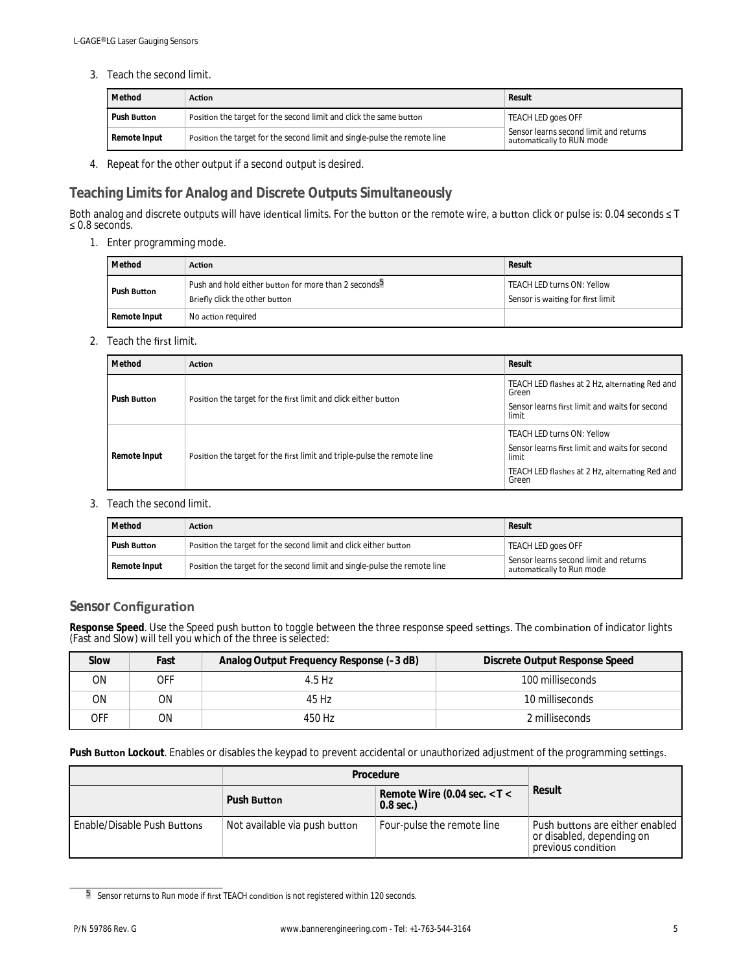3. Teach the second limit.

| Method                                                                                   | <b>Action</b>                                                             | Result                                                                       |  |
|------------------------------------------------------------------------------------------|---------------------------------------------------------------------------|------------------------------------------------------------------------------|--|
| Position the target for the second limit and click the same button<br>Push <b>Button</b> |                                                                           | TEACH LED goes OFF                                                           |  |
| Remote Input                                                                             | Position the target for the second limit and single-pulse the remote line | Sensor learns second limit and returns<br>$^\circ$ automatically to RUN mode |  |

4. Repeat for the other output if a second output is desired.

## **Teaching Limits for Analog and Discrete Outputs Simultaneously**

Both analog and discrete outputs will have identical limits. For the button or the remote wire, a button click or pulse is: 0.04 seconds ≤ T  $\leq 0.8$  seconds.

1. Enter programming mode.

| Method                             | <b>Action</b>                                                                                      | Result                                                                 |
|------------------------------------|----------------------------------------------------------------------------------------------------|------------------------------------------------------------------------|
| Push <b>Button</b>                 | Push and hold either button for more than 2 seconds <sup>5</sup><br>Briefly click the other button | <b>TEACH LED turns ON: Yellow</b><br>Sensor is waiting for first limit |
| Remote Input<br>No action required |                                                                                                    |                                                                        |

2. Teach the first limit.

| Method             | <b>Action</b>                                                            | Result                                                                                                                                                  |
|--------------------|--------------------------------------------------------------------------|---------------------------------------------------------------------------------------------------------------------------------------------------------|
| Push <b>Button</b> | Position the target for the first limit and click either button          | TEACH LED flashes at 2 Hz, alternating Red and<br>Green<br>Sensor learns first limit and waits for second<br>limit                                      |
| Remote Input       | Position the target for the first limit and triple-pulse the remote line | <b>TEACH LED turns ON: Yellow</b><br>Sensor learns first limit and waits for second<br>limit<br>TEACH LED flashes at 2 Hz, alternating Red and<br>Green |

3. Teach the second limit.

| Method                                                                                 | Action                                                                    | Result                                                              |  |
|----------------------------------------------------------------------------------------|---------------------------------------------------------------------------|---------------------------------------------------------------------|--|
| Position the target for the second limit and click either button<br>Push <b>Button</b> |                                                                           | TEACH LED goes OFF                                                  |  |
| Remote Input                                                                           | Position the target for the second limit and single-pulse the remote line | Sensor learns second limit and returns<br>automatically to Run mode |  |

## **Sensor Configuration**

Response Speed. Use the Speed push button to toggle between the three response speed settings. The combination of indicator lights (Fast and Slow) will tell you which of the three is selected:

| Slow | Fast | Analog Output Frequency Response (-3 dB) | Discrete Output Response Speed |
|------|------|------------------------------------------|--------------------------------|
| ΟN   | OFF  | 4.5 Hz                                   | 100 milliseconds               |
| ΟN   | ΟN   | 45 Hz                                    | 10 milliseconds                |
| OFF  | ΟN   | 450 Hz                                   | 2 milliseconds                 |

Push **Button** Lockout. Enables or disables the keypad to prevent accidental or unauthorized adjustment of the programming settings.

|                             | Procedure                     |                                                 |                                                                                    |
|-----------------------------|-------------------------------|-------------------------------------------------|------------------------------------------------------------------------------------|
|                             | Push <b>Button</b>            | Remote Wire (0.04 sec. $<$ T $<$<br>$0.8$ sec.) | Result                                                                             |
| Enable/Disable Push Buttons | Not available via push button | Four-pulse the remote line                      | Push buttons are either enabled<br>or disabled, depending on<br>previous condition |

<sup>5</sup> Sensor returns to Run mode if first TEACH condition is not registered within 120 seconds.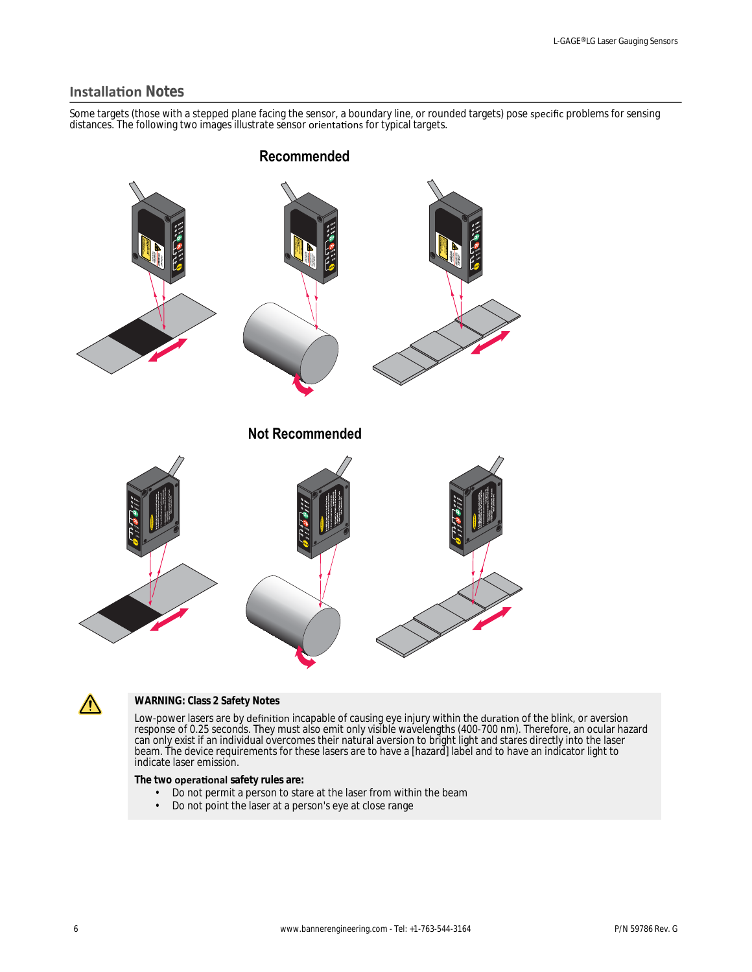## **Installation Notes**

Some targets (those with a stepped plane facing the sensor, a boundary line, or rounded targets) pose specific problems for sensing distances. The following two images illustrate sensor orientations for typical targets.





### **WARNING: Class 2 Safety Notes**

Low-power lasers are by definition incapable of causing eye injury within the duration of the blink, or aversion response of 0.25 seconds. They must also emit only visible wavelengths (400-700 nm). Therefore, an ocular hazard can only exist if an individual overcomes their natural aversion to bright light and stares directly into the laser beam. The device requirements for these lasers are to have a [hazard] label and to have an indicator light to indicate laser emission.

The two **operational** safety rules are:

- Do not permit a person to stare at the laser from within the beam<br>• Do not point the laser at a person's eve at close range
- Do not point the laser at a person's eye at close range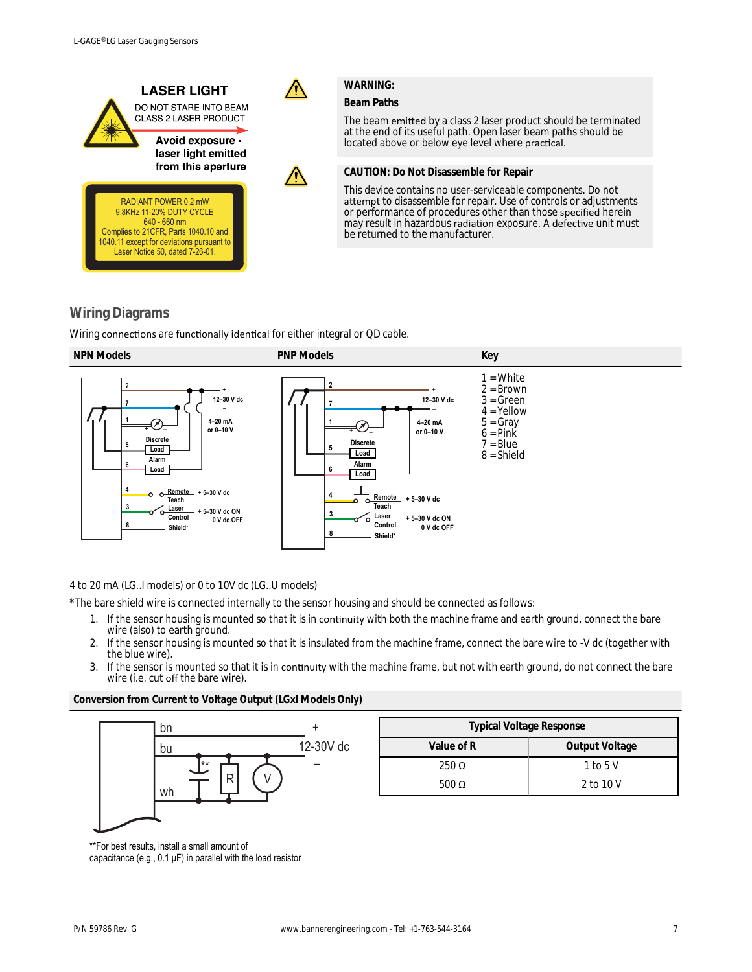

The beam emitted by a class 2 laser product should be terminated at the end of its useful path. Open laser beam paths should be located above or below eye level where practical.

**CAUTION: Do Not Disassemble for Repair**

This device contains no user-serviceable components. Do not attempt to disassemble for repair. Use of controls or adjustments or performance of procedures other than those specified herein may result in hazardous radiation exposure. A defective unit must be returned to the manufacturer.

## **Wiring Diagrams**

Wiring connections are functionally identical for either integral or QD cable.



4 to 20 mA (LG..I models) or 0 to 10V dc (LG..U models)

\*The bare shield wire is connected internally to the sensor housing and should be connected as follows:

- 1. If the sensor housing is mounted so that it is in continuity with both the machine frame and earth ground, connect the bare wire (also) to earth ground.
- 2. If the sensor housing is mounted so that it is insulated from the machine frame, connect the bare wire to -V dc (together with the blue wire).
- 3. If the sensor is mounted so that it is in continuity with the machine frame, but not with earth ground, do not connect the bare wire (i.e. cut off the bare wire).

**Conversion from Current to Voltage Output (LGxI Models Only)**



| <b>Typical Voltage Response</b> |                |
|---------------------------------|----------------|
| Value of R                      | Output Voltage |
| $250 \Omega$                    | 1 to 5 $V$     |
| 500 $\Omega$                    | 2 to 10 V      |

\*\*For best results, install a small amount of capacitance (e.g., 0.1 μF) in parallel with the load resistor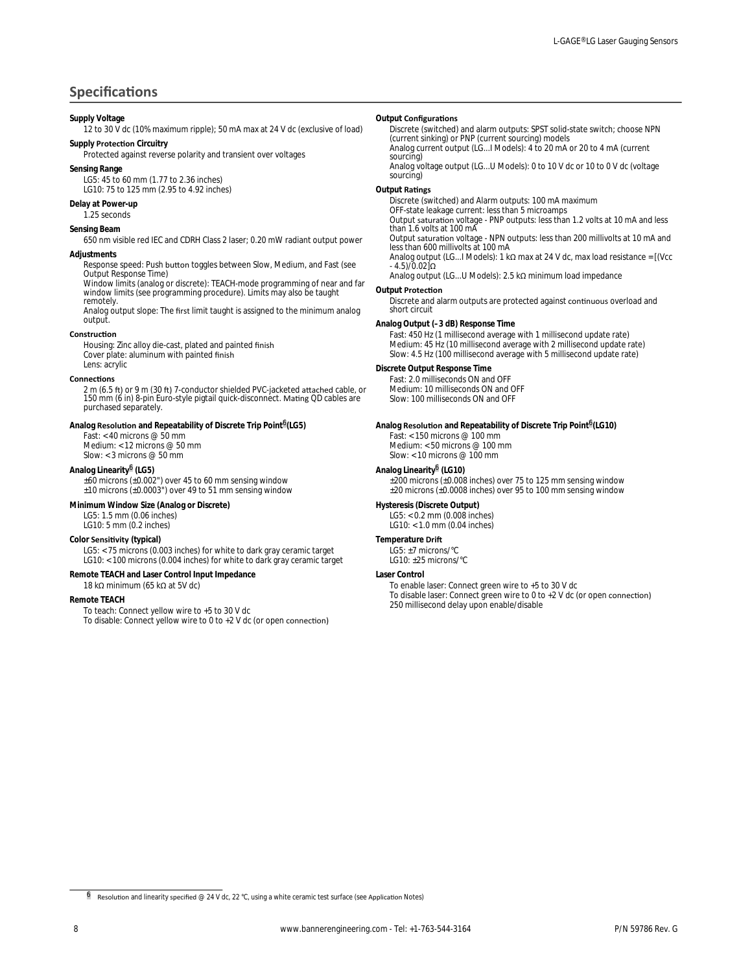## **Specifications**

#### **Supply Voltage**

12 to 30 V dc (10% maximum ripple); 50 mA max at 24 V dc (exclusive of load) **Supply Protection Circuitry** 

Protected against reverse polarity and transient over voltages

#### **Sensing Range**

LG5: 45 to 60 mm (1.77 to 2.36 inches) LG10: 75 to 125 mm (2.95 to 4.92 inches)

#### **Delay at Power-up**

1.25 seconds

#### **Sensing Beam**

650 nm visible red IEC and CDRH Class 2 laser; 0.20 mW radiant output power

### **Adjustments**

Response speed: Push button toggles between Slow, Medium, and Fast (see Output Response Time)

Window limits (analog or discrete): TEACH-mode programming of near and far window limits (see programming procedure). Limits may also be taught remotely.

Analog output slope: The first limit taught is assigned to the minimum analog output.

#### **Construction**

Housing: Zinc alloy die-cast, plated and painted finish Cover plate: aluminum with painted finish Lens: acrylic

#### **Connections**

2 m (6.5 ft) or 9 m (30 ft) 7-conductor shielded PVC-jacketed attached cable, or<br>150 mm (6 in) 8-pin Euro-style pigtail quick-disconnect. Mating QD cables are purchased separately.

#### Analog **Resolution** and Repeatability of Discrete Trip Point<sup>6</sup>(LG5)

Fast: < 40 microns @ 50 mm Medium: < 12 microns @ 50 mm

Slow: < 3 microns @ 50 mm

### **Analog Linearity**<sup>6</sup>  **(LG5)**

±60 microns (±0.002") over 45 to 60 mm sensing window ±10 microns (±0.0003") over 49 to 51 mm sensing window

**Minimum Window Size (Analog or Discrete)** LG5: 1.5 mm (0.06 inches) LG10: 5 mm (0.2 inches)

### **Color Sensitivity (typical)**

LG5: < 75 microns (0.003 inches) for white to dark gray ceramic target LG10: < 100 microns (0.004 inches) for white to dark gray ceramic target

### **Remote TEACH and Laser Control Input Impedance**

18 kΩ minimum (65 kΩ at 5V dc)

#### **Remote TEACH**

To teach: Connect yellow wire to +5 to 30 V dc To disable: Connect yellow wire to 0 to  $+2$  V dc (or open connection)

#### **Output Configurations**

Discrete (switched) and alarm outputs: SPST solid-state switch; choose NPN (current sinking) or PNP (current sourcing) models Analog current output (LG...I Models): 4 to 20 mA or 20 to 4 mA (current sourcing)

Analog voltage output (LG...U Models): 0 to 10 V dc or 10 to 0 V dc (voltage sourcing)

### **Output Ratings**

Discrete (switched) and Alarm outputs: 100 mA maximum OFF-state leakage current: less than 5 microamps Output saturation voltage - PNP outputs: less than 1.2 volts at 10 mA and less than 1.6 volts at 100 mA Output saturation voltage - NPN outputs: less than 200 millivolts at 10 mA and<br>less than 600 millivolts at 100 mA

Analog output (LG...I Models): 1 kΩ max at 24 V dc, max load resistance = [(Vcc  $-4.5$ )/ $0.02$ ]Ω

Analog output (LG...U Models): 2.5 kΩ minimum load impedance

### **Output Protection**

Discrete and alarm outputs are protected against continuous overload and short circuit

#### **Analog Output (–3 dB) Response Time**

Fast: 450 Hz (1 millisecond average with 1 millisecond update rate) Medium: 45 Hz (10 millisecond average with 2 millisecond update rate) Slow: 4.5 Hz (100 millisecond average with 5 millisecond update rate)

### **Discrete Output Response Time**

Fast: 2.0 milliseconds ON and OFF Medium: 10 milliseconds ON and OFF Slow: 100 milliseconds ON and OFF

Analog **Resolution** and Repeatability of Discrete Trip Point<sup>6</sup>(LG10) Fast: < 150 microns @ 100 mm Medium: < 50 microns @ 100 mm Slow: < 10 microns @ 100 mm

#### **Analog Linearity**<sup>6</sup>  **(LG10)**

±200 microns (±0.008 inches) over 75 to 125 mm sensing window ±20 microns (±0.0008 inches) over 95 to 100 mm sensing window

**Hysteresis (Discrete Output)** LG5: < 0.2 mm (0.008 inches) LG10: < 1.0 mm (0.04 inches)

#### **Temperature Drift**

LG5: ±7 microns/°C LG10: ±25 microns/°C

#### **Laser Control**

To enable laser: Connect green wire to +5 to 30 V dc To disable laser: Connect green wire to 0 to  $+2$  V dc (or open connection) 250 millisecond delay upon enable/disable

<sup>&</sup>lt;sup>6</sup> Resolution and linearity specified @ 24 V dc, 22 °C, using a white ceramic test surface (see Application Notes)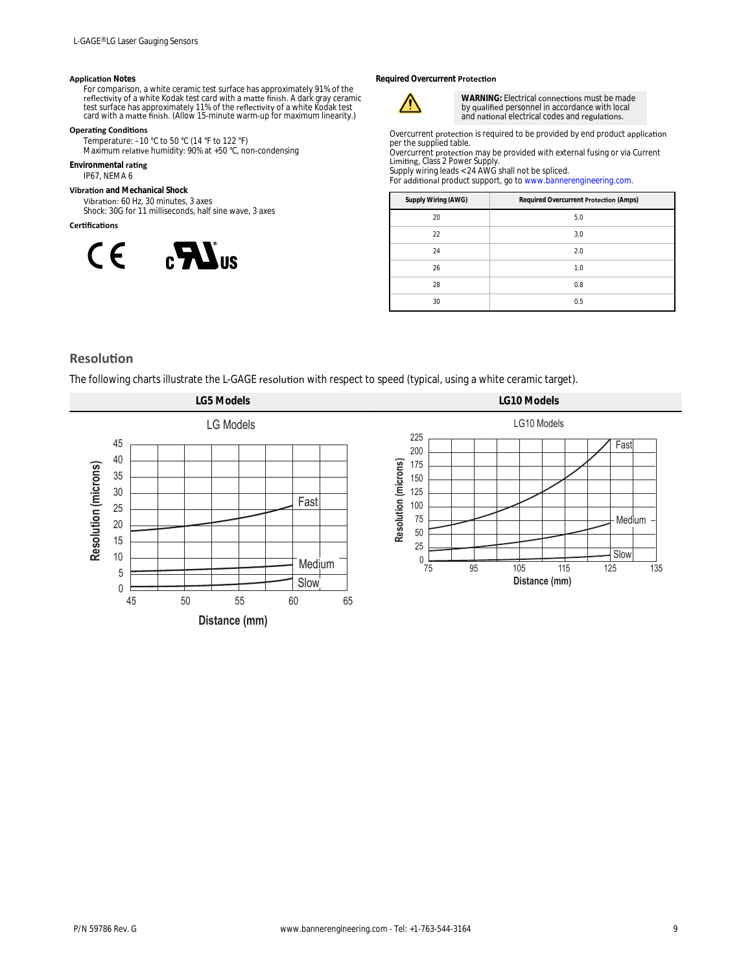#### **Application Notes**

For comparison, a white ceramic test surface has approximately 91% of the<br>reflectivity of a white Kodak test card with a matte finish. A dark gray ceramic<br>test surface has approximately 11% of the reflectivity of a white K

### **Operating Conditions**

Temperature: –10 °C to 50 °C (14 °F to 122 °F)<br>Maximum relative humidity: 90% at +50 °C, non-condensing

**Environmental rating** 

IP67, NEMA 6

**Vibration** and Mechanical Shock

Vibration: 60 Hz, 30 minutes, 3 axes Shock: 30G for 11 milliseconds, half sine wave, 3 axes

### **Certifications**



**Required Overcurrent Protection** 



WARNING: Electrical connections must be made by qualified personnel in accordance with local and national electrical codes and regulations.

Overcurrent protection is required to be provided by end product application<br>per the supplied table. Overcurrent protection may be provided with external fusing or via Current

Limiting, Class 2 Power Supply.<br>Supply wiring leads < 24 AWG shall not be spliced.

For additional product support, go to [www.bannerengineering.com](http://www.bannerengineering.com).

| Supply Wiring (AWG) | Required Overcurrent Protection (Amps) |
|---------------------|----------------------------------------|
| 20                  | 5.0                                    |
| 22                  | 3.0                                    |
| 24                  | 2.0                                    |
| 26                  | 1.0                                    |
| 28                  | 0.8                                    |
| 30                  | 0.5                                    |

### **Resolution**

The following charts illustrate the L-GAGE resolution with respect to speed (typical, using a white ceramic target).

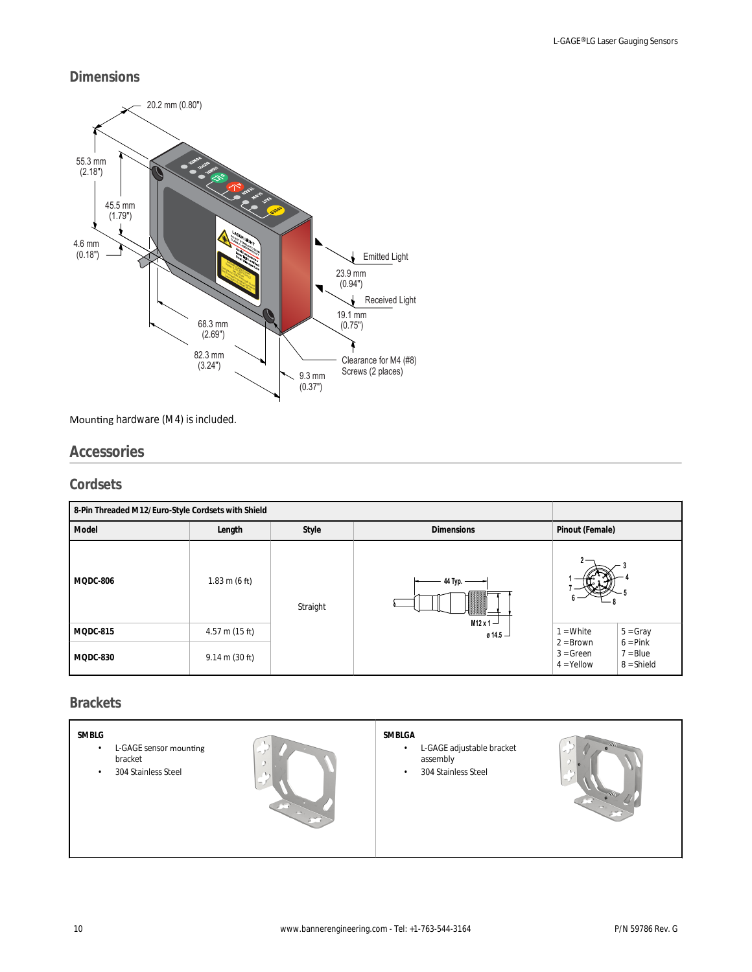## **Dimensions**



## Mounting hardware (M4) is included.

## **Accessories**

### **Cordsets**

| 8-Pin Threaded M12/Euro-Style Cordsets with Shield |                                  |          |                          |                             |                            |
|----------------------------------------------------|----------------------------------|----------|--------------------------|-----------------------------|----------------------------|
| Model                                              | Length                           | Style    | <b>Dimensions</b>        | Pinout (Female)             |                            |
| MQDC-806                                           | $1.83 \text{ m}$ (6 ft)          | Straight | 44 Typ. -<br>M12 x 1 $-$ |                             |                            |
| MQDC-815                                           | $4.57$ m (15 ft)                 |          | 0.14.5                   | $1 = White$<br>$2 = Brown$  | $5 = Gray$<br>$6 = Pink$   |
| MQDC-830                                           | $9.14 \text{ m} (30 \text{ ft})$ |          |                          | $3 = Green$<br>$4 =$ Yellow | $7 = Blue$<br>$8 = Shield$ |

## **Brackets**

|--|